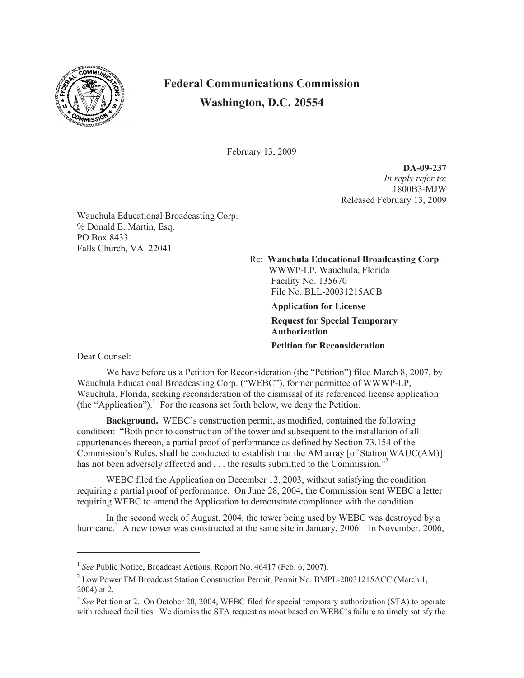

## **Federal Communications Commission Washington, D.C. 20554**

February 13, 2009

**DA-09-237** *In reply refer to*: 1800B3-MJW Released February 13, 2009

Wauchula Educational Broadcasting Corp. ℅ Donald E. Martin, Esq. PO Box 8433 Falls Church, VA 22041

> Re: **Wauchula Educational Broadcasting Corp**. WWWP-LP, Wauchula, Florida Facility No. 135670 File No. BLL-20031215ACB

> > **Application for License Request for Special Temporary Authorization Petition for Reconsideration**

Dear Counsel:

We have before us a Petition for Reconsideration (the "Petition") filed March 8, 2007, by Wauchula Educational Broadcasting Corp. ("WEBC"), former permittee of WWWP-LP, Wauchula, Florida, seeking reconsideration of the dismissal of its referenced license application  $(the "Application").$  For the reasons set forth below, we deny the Petition.

**Background.** WEBC's construction permit, as modified, contained the following condition: "Both prior to construction of the tower and subsequent to the installation of all appurtenances thereon, a partial proof of performance as defined by Section 73.154 of the Commission's Rules, shall be conducted to establish that the AM array [of Station WAUC(AM)] has not been adversely affected and . . . the results submitted to the Commission."<sup>2</sup>

WEBC filed the Application on December 12, 2003, without satisfying the condition requiring a partial proof of performance. On June 28, 2004, the Commission sent WEBC a letter requiring WEBC to amend the Application to demonstrate compliance with the condition.

In the second week of August, 2004, the tower being used by WEBC was destroyed by a hurricane.<sup>3</sup> A new tower was constructed at the same site in January, 2006. In November, 2006,

<sup>&</sup>lt;sup>1</sup> See Public Notice, Broadcast Actions, Report No. 46417 (Feb. 6, 2007).

<sup>&</sup>lt;sup>2</sup> Low Power FM Broadcast Station Construction Permit, Permit No. BMPL-20031215ACC (March 1, 2004) at 2.

<sup>&</sup>lt;sup>3</sup> See Petition at 2. On October 20, 2004, WEBC filed for special temporary authorization (STA) to operate with reduced facilities. We dismiss the STA request as moot based on WEBC's failure to timely satisfy the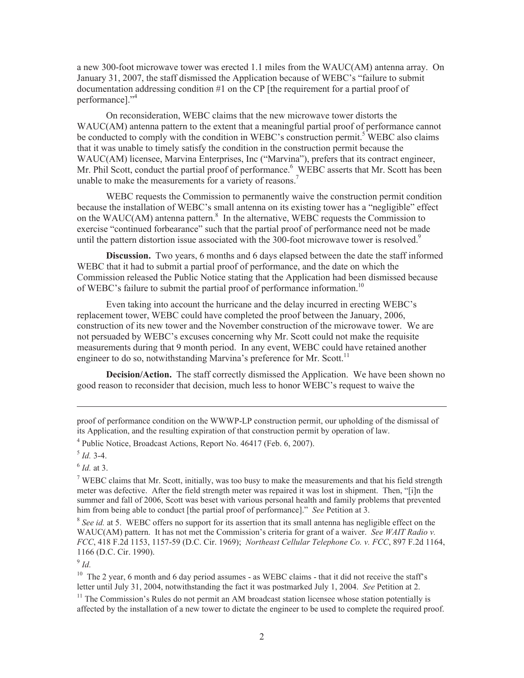a new 300-foot microwave tower was erected 1.1 miles from the WAUC(AM) antenna array. On January 31, 2007, the staff dismissed the Application because of WEBC's "failure to submit documentation addressing condition #1 on the CP [the requirement for a partial proof of performance]."<sup>4</sup>

On reconsideration, WEBC claims that the new microwave tower distorts the WAUC(AM) antenna pattern to the extent that a meaningful partial proof of performance cannot be conducted to comply with the condition in WEBC's construction permit.<sup>5</sup> WEBC also claims that it was unable to timely satisfy the condition in the construction permit because the WAUC(AM) licensee, Marvina Enterprises, Inc ("Marvina"), prefers that its contract engineer, Mr. Phil Scott, conduct the partial proof of performance.<sup>6</sup> WEBC asserts that Mr. Scott has been unable to make the measurements for a variety of reasons.<sup>7</sup>

WEBC requests the Commission to permanently waive the construction permit condition because the installation of WEBC's small antenna on its existing tower has a "negligible" effect on the WAUC(AM) antenna pattern. $8\,$  In the alternative, WEBC requests the Commission to exercise "continued forbearance" such that the partial proof of performance need not be made until the pattern distortion issue associated with the 300-foot microwave tower is resolved.<sup>9</sup>

**Discussion.** Two years, 6 months and 6 days elapsed between the date the staff informed WEBC that it had to submit a partial proof of performance, and the date on which the Commission released the Public Notice stating that the Application had been dismissed because of WEBC's failure to submit the partial proof of performance information.<sup>10</sup>

Even taking into account the hurricane and the delay incurred in erecting WEBC's replacement tower, WEBC could have completed the proof between the January, 2006, construction of its new tower and the November construction of the microwave tower. We are not persuaded by WEBC's excuses concerning why Mr. Scott could not make the requisite measurements during that 9 month period. In any event, WEBC could have retained another engineer to do so, notwithstanding Marvina's preference for Mr. Scott.<sup>11</sup>

**Decision/Action.** The staff correctly dismissed the Application. We have been shown no good reason to reconsider that decision, much less to honor WEBC's request to waive the

proof of performance condition on the WWWP-LP construction permit, our upholding of the dismissal of its Application, and the resulting expiration of that construction permit by operation of law.

<sup>4</sup> Public Notice, Broadcast Actions, Report No. 46417 (Feb. 6, 2007).

6 *Id.* at 3.

<sup>7</sup> WEBC claims that Mr. Scott, initially, was too busy to make the measurements and that his field strength meter was defective. After the field strength meter was repaired it was lost in shipment. Then, "[i]n the summer and fall of 2006, Scott was beset with various personal health and family problems that prevented him from being able to conduct [the partial proof of performance]." *See* Petition at 3.

<sup>8</sup> See id. at 5. WEBC offers no support for its assertion that its small antenna has negligible effect on the WAUC(AM) pattern. It has not met the Commission's criteria for grant of a waiver. *See WAIT Radio v. FCC*, 418 F.2d 1153, 1157-59 (D.C. Cir. 1969); *Northeast Cellular Telephone Co. v. FCC*, 897 F.2d 1164, 1166 (D.C. Cir. 1990).

9 *Id.*

 $10$  The 2 year, 6 month and 6 day period assumes - as WEBC claims - that it did not receive the staff's letter until July 31, 2004, notwithstanding the fact it was postmarked July 1, 2004. *See* Petition at 2.

 $11$  The Commission's Rules do not permit an AM broadcast station licensee whose station potentially is affected by the installation of a new tower to dictate the engineer to be used to complete the required proof.

<sup>5</sup> *Id.* 3-4.